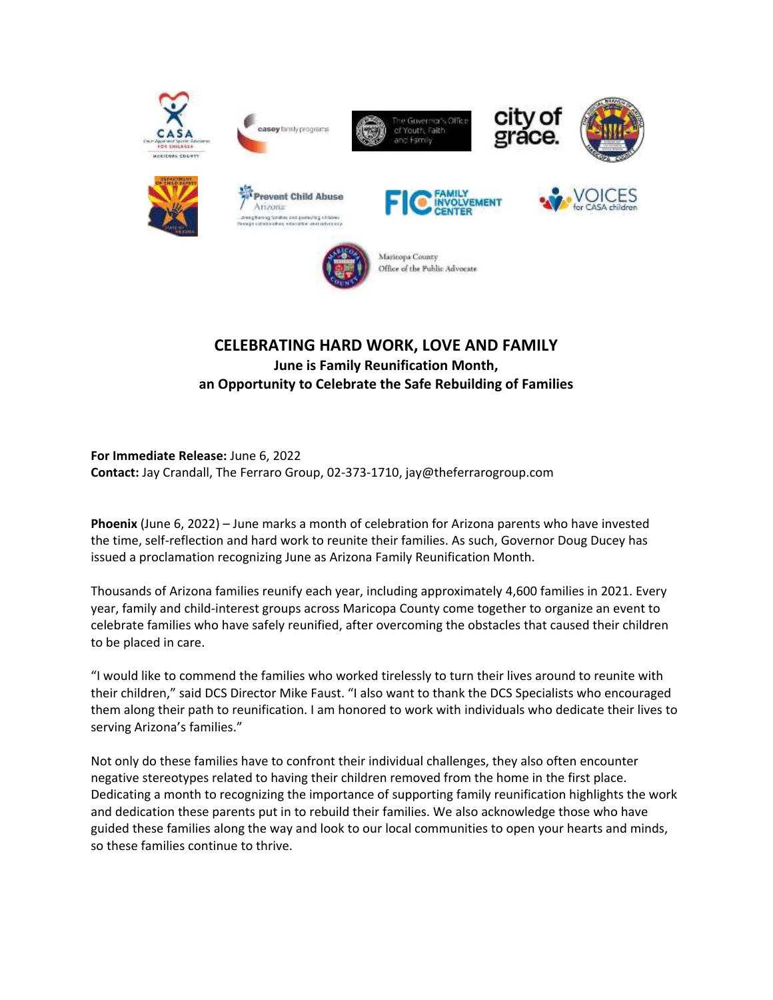

casey family programs









**Prevent Child Abuse** Arizona egituring Soratios and podesting Litaben<br>prestretorothes, relations and adverted







Maricopa County Office of the Public Advocate

## **CELEBRATING HARD WORK, LOVE AND FAMILY June is Family Reunification Month, an Opportunity to Celebrate the Safe Rebuilding of Families**

**For Immediate Release:** June 6, 2022 **Contact:** Jay Crandall, The Ferraro Group, 02-373-1710, jay@theferrarogroup.com

**Phoenix** (June 6, 2022) – June marks a month of celebration for Arizona parents who have invested the time, self-reflection and hard work to reunite their families. As such, Governor Doug Ducey has issued a proclamation recognizing June as Arizona Family Reunification Month.

Thousands of Arizona families reunify each year, including approximately 4,600 families in 2021. Every year, family and child-interest groups across Maricopa County come together to organize an event to celebrate families who have safely reunified, after overcoming the obstacles that caused their children to be placed in care.

"I would like to commend the families who worked tirelessly to turn their lives around to reunite with their children," said DCS Director Mike Faust. "I also want to thank the DCS Specialists who encouraged them along their path to reunification. I am honored to work with individuals who dedicate their lives to serving Arizona's families."

Not only do these families have to confront their individual challenges, they also often encounter negative stereotypes related to having their children removed from the home in the first place. Dedicating a month to recognizing the importance of supporting family reunification highlights the work and dedication these parents put in to rebuild their families. We also acknowledge those who have guided these families along the way and look to our local communities to open your hearts and minds, so these families continue to thrive.